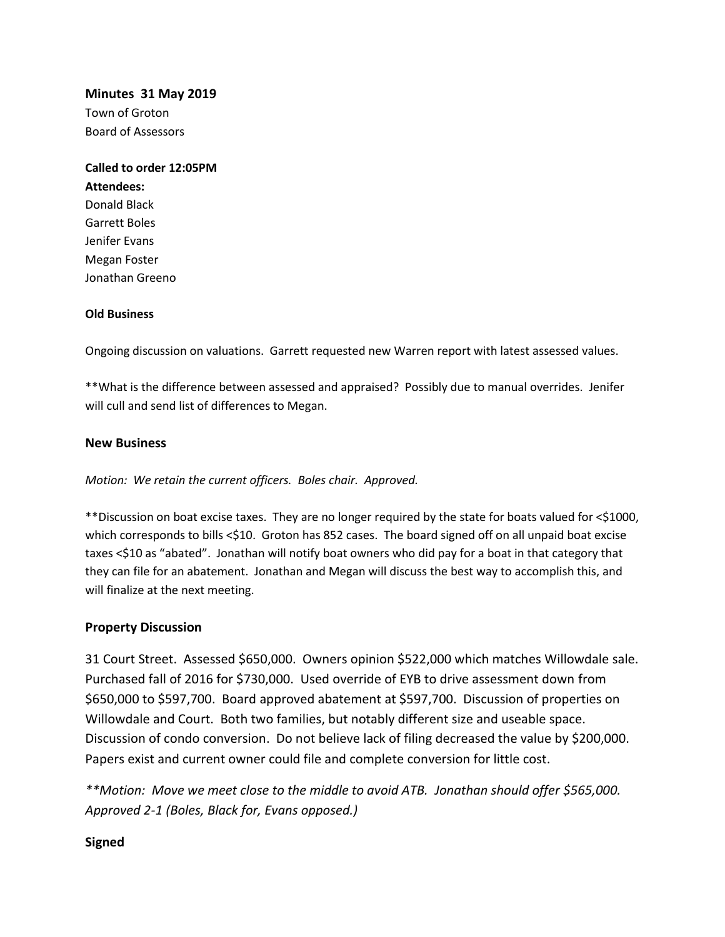**Minutes 31 May 2019**

Town of Groton Board of Assessors

**Called to order 12:05PM Attendees:** Donald Black Garrett Boles Jenifer Evans Megan Foster Jonathan Greeno

## **Old Business**

Ongoing discussion on valuations. Garrett requested new Warren report with latest assessed values.

\*\*What is the difference between assessed and appraised? Possibly due to manual overrides. Jenifer will cull and send list of differences to Megan.

## **New Business**

*Motion: We retain the current officers. Boles chair. Approved.*

\*\*Discussion on boat excise taxes. They are no longer required by the state for boats valued for <\$1000, which corresponds to bills <\$10. Groton has 852 cases. The board signed off on all unpaid boat excise taxes <\$10 as "abated". Jonathan will notify boat owners who did pay for a boat in that category that they can file for an abatement. Jonathan and Megan will discuss the best way to accomplish this, and will finalize at the next meeting.

## **Property Discussion**

31 Court Street. Assessed \$650,000. Owners opinion \$522,000 which matches Willowdale sale. Purchased fall of 2016 for \$730,000. Used override of EYB to drive assessment down from \$650,000 to \$597,700. Board approved abatement at \$597,700. Discussion of properties on Willowdale and Court. Both two families, but notably different size and useable space. Discussion of condo conversion. Do not believe lack of filing decreased the value by \$200,000. Papers exist and current owner could file and complete conversion for little cost.

*\*\*Motion: Move we meet close to the middle to avoid ATB. Jonathan should offer \$565,000. Approved 2-1 (Boles, Black for, Evans opposed.)* 

## **Signed**